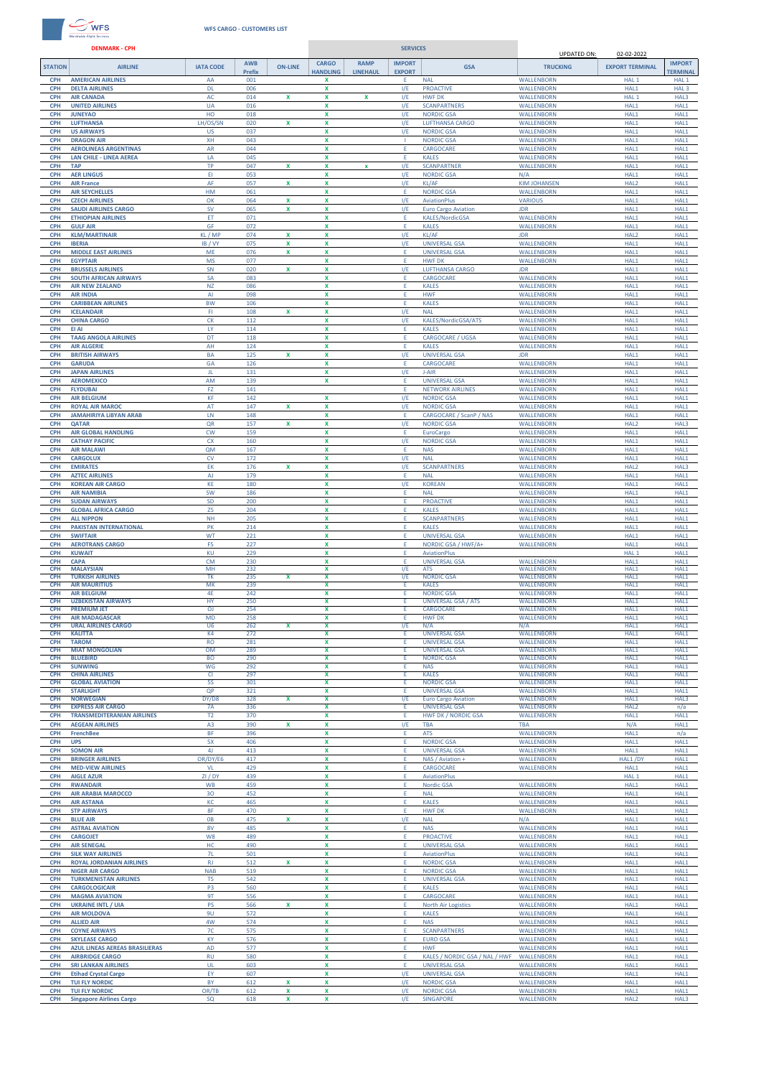

## **WFS CARGO - CUSTOMERS LIST**

**DENMARK - CPH SERVICES**UPDATED ON: 02-02-2022 **STATION AIRLINE IATA CODE AWB ON-LINE CARGO RAMP IMPORT GSA TRUCKING EXPORT TERMINAL IMPORT Prefix HANDLING LINEHAU EXPORT TERMINAL CPH AMERICAN AIRLINES** AA 001 **X** E NAL WALLENBORN HAL 1 HAL 1 **CPH DELTA AIRLINES** DL 006 **X** I/E PROACTIVE WALLENBORN HAL1 HAL 3 **CPH AIR CANADA** AC 014 **X X X** I/E HWF DK WALLENBORN HAL 1 HAL3 **CPH UNITED AIRLINES** UA 016 **X** I/E SCANPARTNERS WALLENBORN HAL1 HAL1 **CPH JUNEYAO** HO 018 **X** I/E NORDIC GSA WALLENBORN HAL1 HAL1 **CPH LUFTHANSA** LH/OS/SN 020 **X X** I/E LUFTHANSA CARGO WALLENBORN HAL1 HAL1 **CPH US AIRWAYS** US 037 **X** I/E NORDIC GSA WALLENBORN HAL1 HAL1 **CPH DRAGON AIR** XH 043 **X** I NORDIC GSA WALLENBORN HAL1 HAL1 **CPH AEROLINEAS ARGENTINAS** AR 044 **X** E CARGOCARE WALLENBORN HAL1 HAL1 **CPH LAN CHILE - LINEA AEREA** LA 045 **X** E KALES WALLENBORN HAL1 HAL1 **CPH TAP** TP 047 **X X x** I/E SCANPARTNER WALLENBORN HAL1 HAL1 **CPH AER LINGUS** EI 053 **X** I/E NORDIC GSA N/A HAL1 HAL1 **CPH AIR France** AF 057 **X X** I/E KL/AF KIM JOHANSEN HAL2 HAL1 **CPH AIR SEYCHELLES** HM 061 **X** E NORDIC GSA WALLENBORN HAL1 HAL1 **CPH CZECH AIRLINES** OK 064 **X X** I/E AviationPlus VARIOUS HAL1 HAL1 **CPH SAUDI AIRLINES CARGO** SV 065 **X X** I/E Euro Cargo Aviation JDR HAL1 HAL1 **CPH ETHIOPIAN AIRLINES** ET 071 **X** E KALES/NordicGSA WALLENBORN HAL1 HAL1 **CPH GULF AIR** GF 072 **X** E KALES WALLENBORN HAL1 HAL1 **CPH KLM/MARTINAIR** KL / MP 074 **X X** I/E KL/AF JDR HAL2 HAL1 **CPH IBERIA** IB / VY 075 **X X** I/E UNIVERSAL GSA WALLENBORN HAL1 HAL1 **CPH MIDDLE EAST AIRLINES** ME 076 **X X** E UNIVERSAL GSA WALLENBORN HAL1 HAL1 **CPH EGYPTAIR** MS 077 **X** E HWF DK WALLENBORN HAL1 HAL1 **CPH BRUSSELS AIRLINES** SN 020 **X X** I/E LUFTHANSA CARGO JDR HAL1 HAL1 **CPH SOUTH AFRICAN AIRWAYS** SA 083 **X** E CARGOCARE WALLENBORN HAL1 HAL1 **CPH AIR NEW ZEALAND** NZ 086 **X** E KALES WALLENBORN HAL1 HAL1 **CPH AIR INDIA** AI 098 **X** E HWF WALLENBORN HAL1 HAL1 **CPH CARIBBEAN AIRLINES** BW 106 **X** E KALES WALLENBORN HAL1 HAL1 **CPH ICELANDAIR** FI 108 **X X** I/E NAL WALLENBORN HAL1 HAL1 **CPH CHINA CARGO** CK 112 **X** I/E KALES/NordicGSA/ATS WALLENBORN HAL1 HAL1 **CPH EI AI** LY 114 **X** E KALES WALLENBORN HAL1 HAL1 **CPH TAAG ANGOLA AIRLINES** DT 118 **X** E CARGOCARE / UGSA WALLENBORN HAL1 HAL1 **CPH AIR ALGERIE** AH 124 **X** E KALES WALLENBORN HAL1 HAL1 **CPH BRITISH AIRWAYS** BA 125 **X X** I/E UNIVERSAL GSA JDR HAL1 HAL1 **CPH GARUDA** GA 126 **X** E CARGOCARE WALLENBORN HAL1 HAL1 **CPH JAPAN AIRLINES** JL 131 **X** I/E J-AIR WALLENBORN HAL1 HAL1 **CPH AEROMEXICO** AM 139 **X** E UNIVERSAL GSA WALLENBORN HAL1 HAL1 **CPH FLYDUBAI** FZ 141 E NETWORK AIRLINES WALLENBORN HAL1 HAL1 **CPH AIR BELGIUM** KF 142 **X** I/E NORDIC GSA WALLENBORN HAL1 HAL1 **CPH ROYAL AIR MAROC** AT 147 **X X** I/E NORDIC GSA WALLENBORN HAL1 HAL1 **CPH JAMAHIRIYA LiBYAN ARAB** LN 148 **X** E CARGOCARE / ScanP / NAS WALLENBORN HAL1 HAL1 **CPH QATAR** QR 157 **X X** I/E NORDIC GSA WALLENBORN HAL2 HAL3 **CPH AIR GLOBAL HANDLING** CW 159 **X** E EuroCargo WALLENBORN HAL1 HAL1 **CPH CATHAY PACIFIC** CX 160 **X** I/E NORDIC GSA WALLENBORN HAL1 HAL1 **CPH AIR MALAWI** QM 167 **X** E NAS WALLENBORN HAL1 HAL1 **CPH CARGOLUX** CV 172 **X** I/E NAL WALLENBORN HAL1 HAL1 **CPH EMIRATES** EK 176 **X X** I/E SCANPARTNERS WALLENBORN HAL2 HAL3 **CPH AZTEC AIRLINES** AJ 179 **X** E NAL WALLENBORN HAL1 HAL1 **CPH KOREAN AIR CARGO** KE 180 **X** I/E KOREAN WALLENBORN HAL1 HAL1 **CPH AIR NAMIBIA** SW 186 **X** E NAL WALLENBORN HAL1 HAL1 **CPH SUDAN AIRWAYS** SD 200 **X** E PROACTIVE WALLENBORN HAL1 HAL1 **CPH GLOBAL AFRICA CARGO** Z5 204 **X** E KALES WALLENBORN HAL1 HAL1 **CPH ALL NIPPON** NH 205 **X** E SCANPARTNERS WALLENBORN HAL1 HAL1 **CPH PAKISTAN INTERNATIONAL CPH SWIFTAIR** WT 221 **X** E UNIVERSAL GSA WALLENBORN HAL1 HAL1 **CPH AEROTRANS CARGO** F5 227 **X** E NORDIC GSA / HWF/A+ WALLENBORN HAL1 HAL1 **CPH KUWAIT** KU 229 **X** E AviationPlus HAL 1 HAL1 **CPH CAPA** CM 230 **X** E UNIVERSAL GSA WALLENBORN HAL1 HAL1 **CPH MALAYSIAN** MH 232 **X** I/E ATS WALLENBORN HAL1 HAL1 **CPH TURKISH AIRLINES** TK 235 **X X** I/E NORDIC GSA WALLENBORN HAL1 HAL1 **CPH AIR MAURITIUS** MK 239 **X** E KALES WALLENBORN HAL1 HAL1 **CPH AIR BELGIUM** 4E 242 **X** E NORDIC GSA WALLENBORN HAL1 HAL1 **CPH UZBEKISTAN AIRWAYS** HY 250 **X** E UNIVERSAL GSA / ATS WALLENBORN HAL1 HAL1 **CPH PREMIUM JET** OJ 254 **X** E CARGOCARE WALLENBORN HAL1 HAL1 **CPH AIR MADAGASCAR** MD 258 **X** E HWF DK WALLENBORN HAL1 HAL1 **CPH URAL AIRLINES CARGO** U6 262 **X X** I/E N/A N/A HAL1 HAL1 **CPH KALITTA** K4 272 **X** E UNIVERSAL GSA WALLENBORN HAL1 HAL1 **CPH TAROM** RO 281 **X** E UNIVERSAL GSA WALLENBORN HAL1 HAL1 **CPH MIAT MONGOLIAN** OM 289 **X** E UNIVERSAL GSA WALLENBORN HAL1 HAL1 **CPH BLUEBIRD** BO 290 **X** E NORDIC GSA WALLENBORN HAL1 HAL1  $\overline{\phantom{0}}$ **CPH SUNWING** WG 292 **X** E NAS WALLENBORN HAL1 HAL1 **CPH CHINA AIRLINES** CI 297 **X** E KALES WALLENBORN HAL1 HAL1 **CPH GLOBAL AVIATION** 5S 301 **X** E NORDIC GSA WALLENBORN HAL1 HAL1 **CPH STARLIGHT** QP 321 **X** E UNIVERSAL GSA WALLENBORN HAL1 HAL1 **CPH NORWEGIAN** DY/D8 328 **X X** I/E Euro Cargo Aviation WALLENBORN HAL1 HAL3 **CPH EXPRESS AIR CARGO** 7A 336 **X** E UNIVERSAL GSA WALLENBORN HAL2 n/a **CPH TRANSMEDITERANIAN AIRLINES** T2 370 **X** E HWF DK / NORDIC GSA WALLENBORN HAL1 HAL1 **CPH AEGEAN AIRLINES** A3 390 **X X** I/E TBA TBA N/A HAL1 **CPH FrenchBee** BF 396 **X** E ATS WALLENBORN HAL1 n/a **CPH UPS** 5X 406 **X** E NORDIC GSA WALLENBORN HAL1 HAL1 **CPH SOMON AIR** 4J 413 **X** E UNIVERSAL GSA WALLENBORN HAL1 HAL1 **CPH BRINGER AIRLINES** OR/DY/E6 417 **X** E NAS / Aviation + WALLENBORN HAL1 /DY HAL1 **CPH MED-VIEW AIRLINES** VL 429 **X** E CARGOCARE WALLENBORN HAL1 HAL1 **CPH AIGLE AZUR CONTENT CONTENT CONTENT ALL CONTENTS AND ALL 2 HALL 2 HAL1 HAL1 HAL1 HAL1 CPH RWANDAIR** WB 459 **X** E Nordic GSA WALLENBORN HAL1 HAL1 **CPH AIR ARABIA MAROCCO** 3O 452 **X** E NAL WALLENBORN HAL1 HAL1 **CPH AIR ASTANA** KC 465 **X** E KALES WALLENBORN HAL1 HAL1 **CPH STP AIRWAYS** 8F 470 **X** E HWF DK WALLENBORN HAL1 HAL1 **CPH BLUE AIR** 0B 475 **X X** I/E NAL N/A HAL1 HAL1 **CPH ASTRAL AVIATION** 8V 485 **X** E NAS WALLENBORN HAL1 HAL1 **CPH CARGOJET** W8 489 **X** E PROACTIVE WALLENBORN HAL1 HAL1 **CPH AIR SENEGAL** HC 490 **X** E UNIVERSAL GSA WALLENBORN HAL1 HAL1 **CPH SILK WAY AIRLINES** 7L 501 **X** E AviationPlus WALLENBORN HAL1 HAL1 **CPH ROYAL JORDANIAN AIRLINES** RJ 512 **X X** E NORDIC GSA WALLENBORN HAL1 HAL1 **CPH NIGER AIR CARGO** NAB 519 **X** E NORDIC GSA WALLENBORN HAL1 HAL1 **CPH TURKMENISTAN AIRLINES** T5 542 **X** E UNIVERSAL GSA WALLENBORN HAL1 HAL1 **CPH CARGOLOGICAIR** P3 560 **X** E KALES WALLENBORN HAL1 HAL1 **CPH MAGMA AVIATION** 9T 556 **X** E CARGOCARE WALLENBORN HAL1 HAL1 **CPH UKRAINE INTL / UIA** PS 566 **X X** E North Air Logistics WALLENBORN HAL1 HAL1 **CPH AIR MOLDOVA** 9U 572 **X** E KALES WALLENBORN HAL1 HAL1 **CPH ALLIED AIR** 4W 574 **X** E NAS WALLENBORN HAL1 HAL1 **CPH COYNE AIRWAYS** 7C 575 **X** E SCANPARTNERS WALLENBORN HAL1 HAL1 **CPH AZUL LINEAS AEREAS BRASILIERAS** AD 577 **X** E HWF WALLENBORN HAL1 HAL1 **CPH SKYLEASE CARGO** KY 576 **X** E EURO GSA WALLENBORN HAL1 HAL1 **CPH CPH CPH CPH CARGO CARGO CARGO CARGO CARGO CARGO CARGO CARGO CARGO CARGO CARGO CARGO CARGO CARGO CARGO CARGO CARGO CARGO CARGO CARGO CARGO CARGO CARGO CARGO CARGO CPH SRI LANKAN AIRLINES** UL 603 **X** E UNIVERSAL GSA WALLENBORN HAL1 HAL1 **CPH Etihad Crystal Cargo** EY 607 **X** I/E UNIVERSAL GSA WALLENBORN HAL1 HAL1 **CPH TUI FLY NORDIC** BY 612 **X X** I/E NORDIC GSA WALLENBORN HAL1 HAL1

**CPH TUI FLY NORDIC** OR/TB 612 **X X** I/E NORDIC GSA WALLENBORN HAL1 HAL1 **CPH Singapore Airlines Cargo** SQ 618 **X X** I/E SINGAPORE WALLENBORN HAL2 HAL3